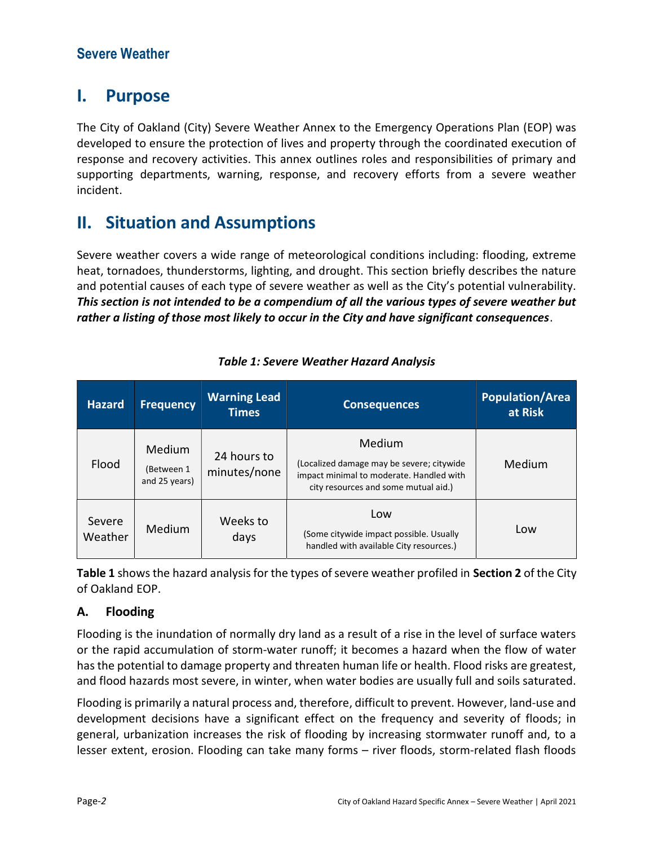## I. Purpose

The City of Oakland (City) Severe Weather Annex to the Emergency Operations Plan (EOP) was developed to ensure the protection of lives and property through the coordinated execution of response and recovery activities. This annex outlines roles and responsibilities of primary and supporting departments, warning, response, and recovery efforts from a severe weather incident.

# II. Situation and Assumptions

Severe weather covers a wide range of meteorological conditions including: flooding, extreme heat, tornadoes, thunderstorms, lighting, and drought. This section briefly describes the nature and potential causes of each type of severe weather as well as the City's potential vulnerability. This section is not intended to be a compendium of all the various types of severe weather but rather a listing of those most likely to occur in the City and have significant consequences.

| <b>Hazard</b>     | <b>Frequency</b>                             | <b>Warning Lead</b><br><b>Times</b> | <b>Consequences</b>                                                                                                                     | <b>Population/Area</b><br>at Risk |
|-------------------|----------------------------------------------|-------------------------------------|-----------------------------------------------------------------------------------------------------------------------------------------|-----------------------------------|
| Flood             | <b>Medium</b><br>(Between 1<br>and 25 years) | 24 hours to<br>minutes/none         | Medium<br>(Localized damage may be severe; citywide<br>impact minimal to moderate. Handled with<br>city resources and some mutual aid.) | Medium                            |
| Severe<br>Weather | Medium                                       | Weeks to<br>days                    | Low<br>(Some citywide impact possible. Usually<br>handled with available City resources.)                                               | Low                               |

## Table 1: Severe Weather Hazard Analysis

Table 1 shows the hazard analysis for the types of severe weather profiled in Section 2 of the City of Oakland EOP.

## A. Flooding

Flooding is the inundation of normally dry land as a result of a rise in the level of surface waters or the rapid accumulation of storm-water runoff; it becomes a hazard when the flow of water has the potential to damage property and threaten human life or health. Flood risks are greatest, and flood hazards most severe, in winter, when water bodies are usually full and soils saturated.

Flooding is primarily a natural process and, therefore, difficult to prevent. However, land-use and development decisions have a significant effect on the frequency and severity of floods; in general, urbanization increases the risk of flooding by increasing stormwater runoff and, to a lesser extent, erosion. Flooding can take many forms – river floods, storm-related flash floods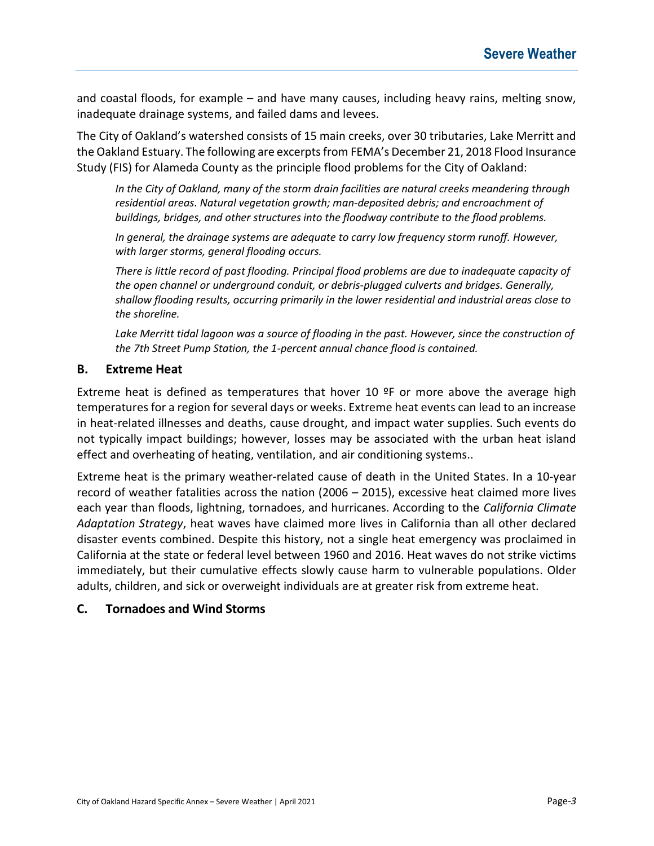and coastal floods, for example – and have many causes, including heavy rains, melting snow, inadequate drainage systems, and failed dams and levees.

The City of Oakland's watershed consists of 15 main creeks, over 30 tributaries, Lake Merritt and the Oakland Estuary. The following are excerpts from FEMA's December 21, 2018 Flood Insurance Study (FIS) for Alameda County as the principle flood problems for the City of Oakland:

In the City of Oakland, many of the storm drain facilities are natural creeks meandering through residential areas. Natural vegetation growth; man-deposited debris; and encroachment of buildings, bridges, and other structures into the floodway contribute to the flood problems.

In general, the drainage systems are adequate to carry low frequency storm runoff. However, with larger storms, general flooding occurs.

There is little record of past flooding. Principal flood problems are due to inadequate capacity of the open channel or underground conduit, or debris-plugged culverts and bridges. Generally, shallow flooding results, occurring primarily in the lower residential and industrial areas close to the shoreline.

Lake Merritt tidal lagoon was a source of flooding in the past. However, since the construction of the 7th Street Pump Station, the 1-percent annual chance flood is contained.

## B. Extreme Heat

Extreme heat is defined as temperatures that hover 10  $\textdegree$ F or more above the average high temperatures for a region for several days or weeks. Extreme heat events can lead to an increase in heat-related illnesses and deaths, cause drought, and impact water supplies. Such events do not typically impact buildings; however, losses may be associated with the urban heat island effect and overheating of heating, ventilation, and air conditioning systems..

Extreme heat is the primary weather-related cause of death in the United States. In a 10-year record of weather fatalities across the nation (2006 – 2015), excessive heat claimed more lives each year than floods, lightning, tornadoes, and hurricanes. According to the California Climate Adaptation Strategy, heat waves have claimed more lives in California than all other declared disaster events combined. Despite this history, not a single heat emergency was proclaimed in California at the state or federal level between 1960 and 2016. Heat waves do not strike victims immediately, but their cumulative effects slowly cause harm to vulnerable populations. Older adults, children, and sick or overweight individuals are at greater risk from extreme heat.

### C. Tornadoes and Wind Storms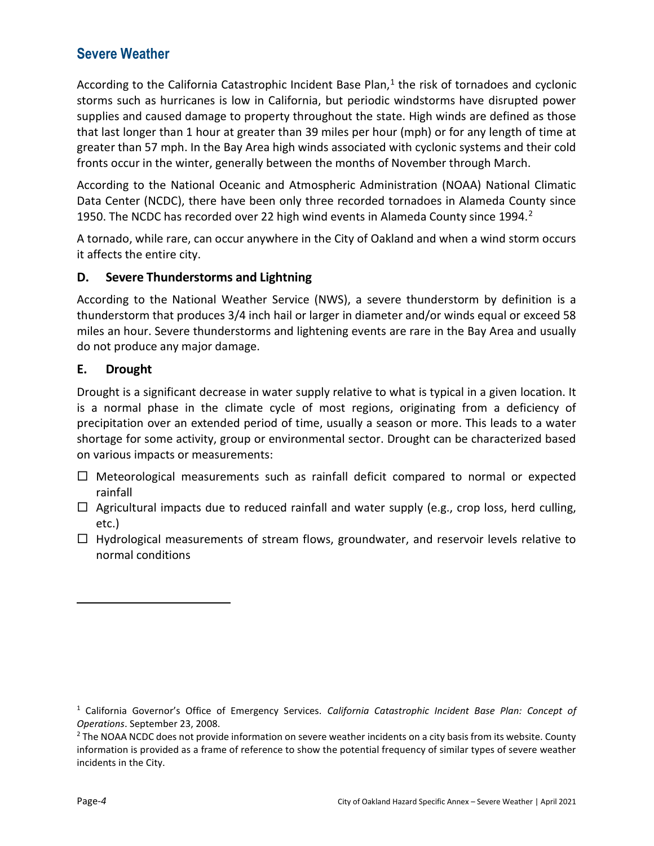According to the California Catastrophic Incident Base Plan, $<sup>1</sup>$  the risk of tornadoes and cyclonic</sup> storms such as hurricanes is low in California, but periodic windstorms have disrupted power supplies and caused damage to property throughout the state. High winds are defined as those that last longer than 1 hour at greater than 39 miles per hour (mph) or for any length of time at greater than 57 mph. In the Bay Area high winds associated with cyclonic systems and their cold fronts occur in the winter, generally between the months of November through March.

According to the National Oceanic and Atmospheric Administration (NOAA) National Climatic Data Center (NCDC), there have been only three recorded tornadoes in Alameda County since 1950. The NCDC has recorded over 22 high wind events in Alameda County since 1994.<sup>2</sup>

A tornado, while rare, can occur anywhere in the City of Oakland and when a wind storm occurs it affects the entire city.

## D. Severe Thunderstorms and Lightning

According to the National Weather Service (NWS), a severe thunderstorm by definition is a thunderstorm that produces 3/4 inch hail or larger in diameter and/or winds equal or exceed 58 miles an hour. Severe thunderstorms and lightening events are rare in the Bay Area and usually do not produce any major damage.

## E. Drought

Drought is a significant decrease in water supply relative to what is typical in a given location. It is a normal phase in the climate cycle of most regions, originating from a deficiency of precipitation over an extended period of time, usually a season or more. This leads to a water shortage for some activity, group or environmental sector. Drought can be characterized based on various impacts or measurements:

- $\Box$  Meteorological measurements such as rainfall deficit compared to normal or expected rainfall
- $\Box$  Agricultural impacts due to reduced rainfall and water supply (e.g., crop loss, herd culling, etc.)
- $\Box$  Hydrological measurements of stream flows, groundwater, and reservoir levels relative to normal conditions

<sup>&</sup>lt;sup>1</sup> California Governor's Office of Emergency Services. California Catastrophic Incident Base Plan: Concept of Operations. September 23, 2008.

<sup>&</sup>lt;sup>2</sup> The NOAA NCDC does not provide information on severe weather incidents on a city basis from its website. County information is provided as a frame of reference to show the potential frequency of similar types of severe weather incidents in the City.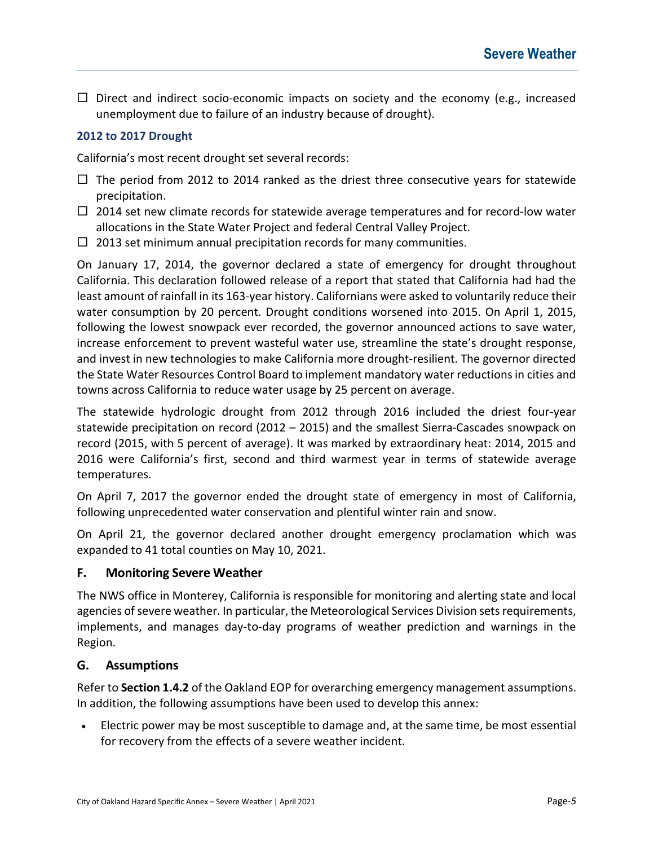$\Box$  Direct and indirect socio-economic impacts on society and the economy (e.g., increased unemployment due to failure of an industry because of drought).

### 2012 to 2017 Drought

California's most recent drought set several records:

- $\Box$  The period from 2012 to 2014 ranked as the driest three consecutive years for statewide precipitation.
- $\Box$  2014 set new climate records for statewide average temperatures and for record-low water allocations in the State Water Project and federal Central Valley Project.
- $\Box$  2013 set minimum annual precipitation records for many communities.

On January 17, 2014, the governor declared a state of emergency for drought throughout California. This declaration followed release of a report that stated that California had had the least amount of rainfall in its 163-year history. Californians were asked to voluntarily reduce their water consumption by 20 percent. Drought conditions worsened into 2015. On April 1, 2015, following the lowest snowpack ever recorded, the governor announced actions to save water, increase enforcement to prevent wasteful water use, streamline the state's drought response, and invest in new technologies to make California more drought-resilient. The governor directed the State Water Resources Control Board to implement mandatory water reductions in cities and towns across California to reduce water usage by 25 percent on average.

The statewide hydrologic drought from 2012 through 2016 included the driest four-year statewide precipitation on record (2012 – 2015) and the smallest Sierra-Cascades snowpack on record (2015, with 5 percent of average). It was marked by extraordinary heat: 2014, 2015 and 2016 were California's first, second and third warmest year in terms of statewide average temperatures.

On April 7, 2017 the governor ended the drought state of emergency in most of California, following unprecedented water conservation and plentiful winter rain and snow.

On April 21, the governor declared another drought emergency proclamation which was expanded to 41 total counties on May 10, 2021.

## F. Monitoring Severe Weather

The NWS office in Monterey, California is responsible for monitoring and alerting state and local agencies of severe weather. In particular, the Meteorological Services Division sets requirements, implements, and manages day-to-day programs of weather prediction and warnings in the Region.

## G. Assumptions

Refer to Section 1.4.2 of the Oakland EOP for overarching emergency management assumptions. In addition, the following assumptions have been used to develop this annex:

 Electric power may be most susceptible to damage and, at the same time, be most essential for recovery from the effects of a severe weather incident.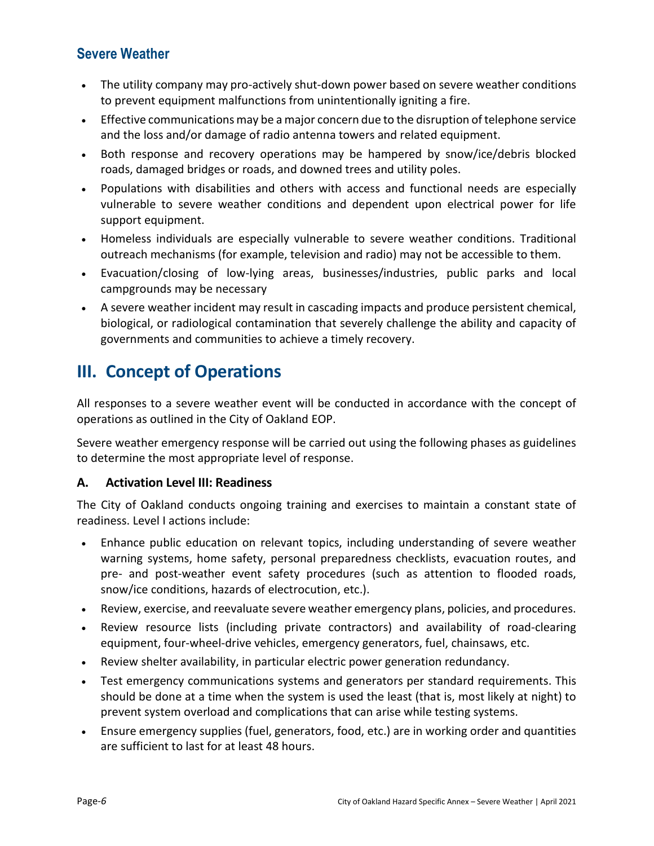- The utility company may pro-actively shut-down power based on severe weather conditions to prevent equipment malfunctions from unintentionally igniting a fire.
- Effective communications may be a major concern due to the disruption of telephone service and the loss and/or damage of radio antenna towers and related equipment.
- Both response and recovery operations may be hampered by snow/ice/debris blocked roads, damaged bridges or roads, and downed trees and utility poles.
- Populations with disabilities and others with access and functional needs are especially vulnerable to severe weather conditions and dependent upon electrical power for life support equipment.
- Homeless individuals are especially vulnerable to severe weather conditions. Traditional outreach mechanisms (for example, television and radio) may not be accessible to them.
- Evacuation/closing of low-lying areas, businesses/industries, public parks and local campgrounds may be necessary
- A severe weather incident may result in cascading impacts and produce persistent chemical, biological, or radiological contamination that severely challenge the ability and capacity of governments and communities to achieve a timely recovery.

# III. Concept of Operations

All responses to a severe weather event will be conducted in accordance with the concept of operations as outlined in the City of Oakland EOP.

Severe weather emergency response will be carried out using the following phases as guidelines to determine the most appropriate level of response.

## A. Activation Level III: Readiness

The City of Oakland conducts ongoing training and exercises to maintain a constant state of readiness. Level I actions include:

- Enhance public education on relevant topics, including understanding of severe weather warning systems, home safety, personal preparedness checklists, evacuation routes, and pre- and post-weather event safety procedures (such as attention to flooded roads, snow/ice conditions, hazards of electrocution, etc.).
- Review, exercise, and reevaluate severe weather emergency plans, policies, and procedures.
- Review resource lists (including private contractors) and availability of road-clearing equipment, four-wheel-drive vehicles, emergency generators, fuel, chainsaws, etc.
- Review shelter availability, in particular electric power generation redundancy.
- Test emergency communications systems and generators per standard requirements. This should be done at a time when the system is used the least (that is, most likely at night) to prevent system overload and complications that can arise while testing systems.
- Ensure emergency supplies (fuel, generators, food, etc.) are in working order and quantities are sufficient to last for at least 48 hours.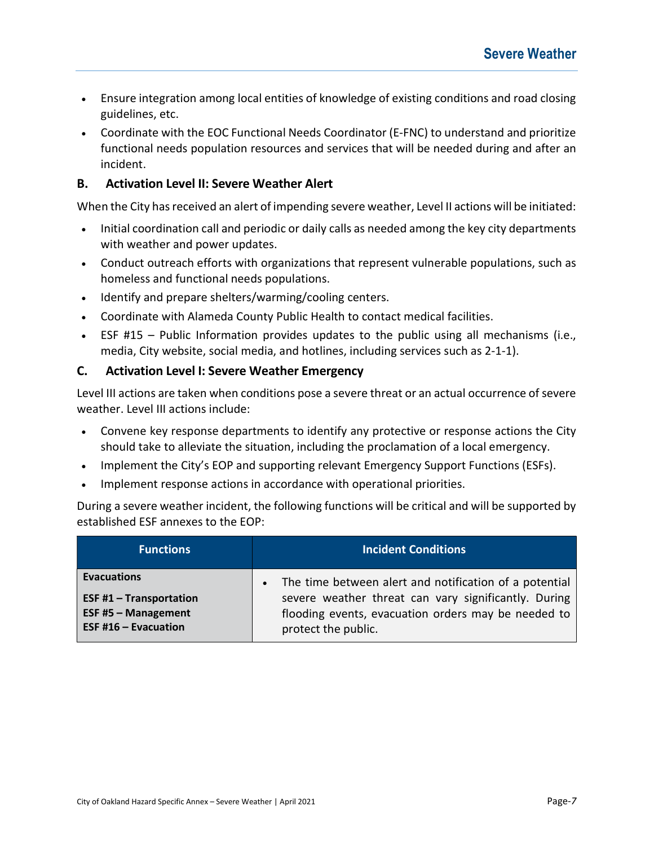- Ensure integration among local entities of knowledge of existing conditions and road closing guidelines, etc.
- Coordinate with the EOC Functional Needs Coordinator (E-FNC) to understand and prioritize functional needs population resources and services that will be needed during and after an incident.

## B. Activation Level II: Severe Weather Alert

When the City has received an alert of impending severe weather, Level II actions will be initiated:

- Initial coordination call and periodic or daily calls as needed among the key city departments with weather and power updates.
- Conduct outreach efforts with organizations that represent vulnerable populations, such as homeless and functional needs populations.
- Identify and prepare shelters/warming/cooling centers.
- Coordinate with Alameda County Public Health to contact medical facilities.
- ESF #15 Public Information provides updates to the public using all mechanisms (i.e., media, City website, social media, and hotlines, including services such as 2-1-1).

## C. Activation Level I: Severe Weather Emergency

Level III actions are taken when conditions pose a severe threat or an actual occurrence of severe weather. Level III actions include:

- Convene key response departments to identify any protective or response actions the City should take to alleviate the situation, including the proclamation of a local emergency.
- Implement the City's EOP and supporting relevant Emergency Support Functions (ESFs).
- Implement response actions in accordance with operational priorities.

During a severe weather incident, the following functions will be critical and will be supported by established ESF annexes to the EOP:

| <b>Functions</b>           | <b>Incident Conditions</b>                             |
|----------------------------|--------------------------------------------------------|
| <b>Evacuations</b>         | The time between alert and notification of a potential |
| ESF #1 $-$ Transportation  | severe weather threat can vary significantly. During   |
| <b>ESF #5 - Management</b> | flooding events, evacuation orders may be needed to    |
| ESF #16 $-$ Evacuation     | protect the public.                                    |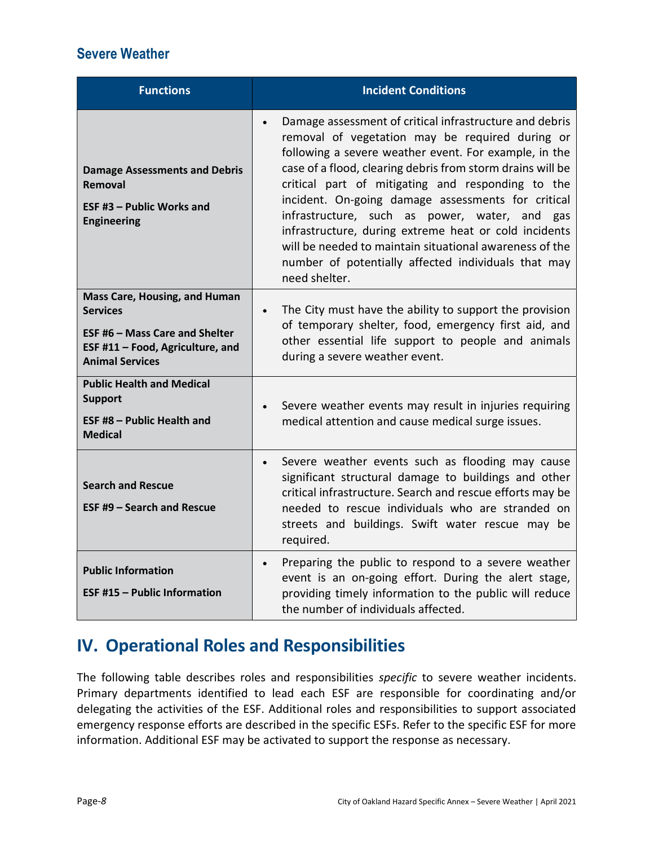| <b>Functions</b>                                                                                                                                               | <b>Incident Conditions</b>                                                                                                                                                                                                                                                                                                                                                                                                                                                                                                                                                                             |
|----------------------------------------------------------------------------------------------------------------------------------------------------------------|--------------------------------------------------------------------------------------------------------------------------------------------------------------------------------------------------------------------------------------------------------------------------------------------------------------------------------------------------------------------------------------------------------------------------------------------------------------------------------------------------------------------------------------------------------------------------------------------------------|
| <b>Damage Assessments and Debris</b><br>Removal<br><b>ESF #3 - Public Works and</b><br><b>Engineering</b>                                                      | Damage assessment of critical infrastructure and debris<br>$\bullet$<br>removal of vegetation may be required during or<br>following a severe weather event. For example, in the<br>case of a flood, clearing debris from storm drains will be<br>critical part of mitigating and responding to the<br>incident. On-going damage assessments for critical<br>infrastructure, such as power, water, and gas<br>infrastructure, during extreme heat or cold incidents<br>will be needed to maintain situational awareness of the<br>number of potentially affected individuals that may<br>need shelter. |
| <b>Mass Care, Housing, and Human</b><br><b>Services</b><br><b>ESF #6 - Mass Care and Shelter</b><br>ESF #11 - Food, Agriculture, and<br><b>Animal Services</b> | The City must have the ability to support the provision<br>$\bullet$<br>of temporary shelter, food, emergency first aid, and<br>other essential life support to people and animals<br>during a severe weather event.                                                                                                                                                                                                                                                                                                                                                                                   |
| <b>Public Health and Medical</b><br><b>Support</b><br><b>ESF #8 - Public Health and</b><br><b>Medical</b>                                                      | Severe weather events may result in injuries requiring<br>medical attention and cause medical surge issues.                                                                                                                                                                                                                                                                                                                                                                                                                                                                                            |
| <b>Search and Rescue</b><br><b>ESF #9 - Search and Rescue</b>                                                                                                  | Severe weather events such as flooding may cause<br>$\bullet$<br>significant structural damage to buildings and other<br>critical infrastructure. Search and rescue efforts may be<br>needed to rescue individuals who are stranded on<br>streets and buildings. Swift water rescue may be<br>required.                                                                                                                                                                                                                                                                                                |
| <b>Public Information</b><br><b>ESF #15 - Public Information</b>                                                                                               | Preparing the public to respond to a severe weather<br>$\bullet$<br>event is an on-going effort. During the alert stage,<br>providing timely information to the public will reduce<br>the number of individuals affected.                                                                                                                                                                                                                                                                                                                                                                              |

# IV. Operational Roles and Responsibilities

The following table describes roles and responsibilities specific to severe weather incidents. Primary departments identified to lead each ESF are responsible for coordinating and/or delegating the activities of the ESF. Additional roles and responsibilities to support associated emergency response efforts are described in the specific ESFs. Refer to the specific ESF for more information. Additional ESF may be activated to support the response as necessary.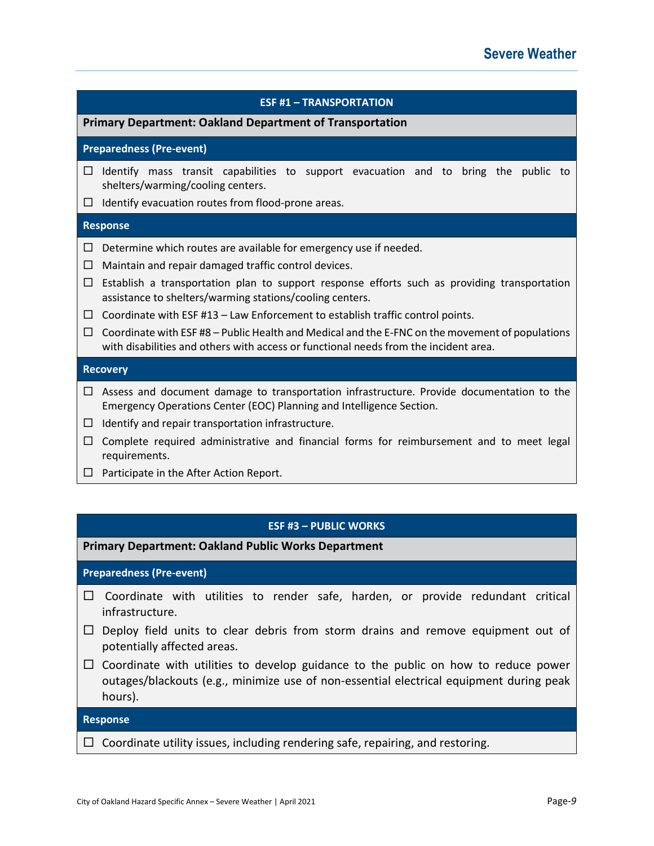## ESF #1 – TRANSPORTATION Primary Department: Oakland Department of Transportation Preparedness (Pre-event)  $\Box$  Identify mass transit capabilities to support evacuation and to bring the public to shelters/warming/cooling centers.  $\Box$  Identify evacuation routes from flood-prone areas. Response  $\Box$  Determine which routes are available for emergency use if needed.  $\Box$  Maintain and repair damaged traffic control devices.  $\Box$  Establish a transportation plan to support response efforts such as providing transportation assistance to shelters/warming stations/cooling centers.  $\Box$  Coordinate with ESF #13 – Law Enforcement to establish traffic control points.  $\Box$  Coordinate with ESF #8 – Public Health and Medical and the E-FNC on the movement of populations with disabilities and others with access or functional needs from the incident area. **Recovery**  $\Box$  Assess and document damage to transportation infrastructure. Provide documentation to the Emergency Operations Center (EOC) Planning and Intelligence Section.  $\Box$  Identify and repair transportation infrastructure.  $\Box$  Complete required administrative and financial forms for reimbursement and to meet legal requirements.

 $\Box$  Participate in the After Action Report.

## ESF #3 – PUBLIC WORKS

Primary Department: Oakland Public Works Department

## Preparedness (Pre-event)

- $\Box$  Coordinate with utilities to render safe, harden, or provide redundant critical infrastructure.
- $\Box$  Deploy field units to clear debris from storm drains and remove equipment out of potentially affected areas.
- $\Box$  Coordinate with utilities to develop guidance to the public on how to reduce power outages/blackouts (e.g., minimize use of non-essential electrical equipment during peak hours).

### Response

 $\Box$  Coordinate utility issues, including rendering safe, repairing, and restoring.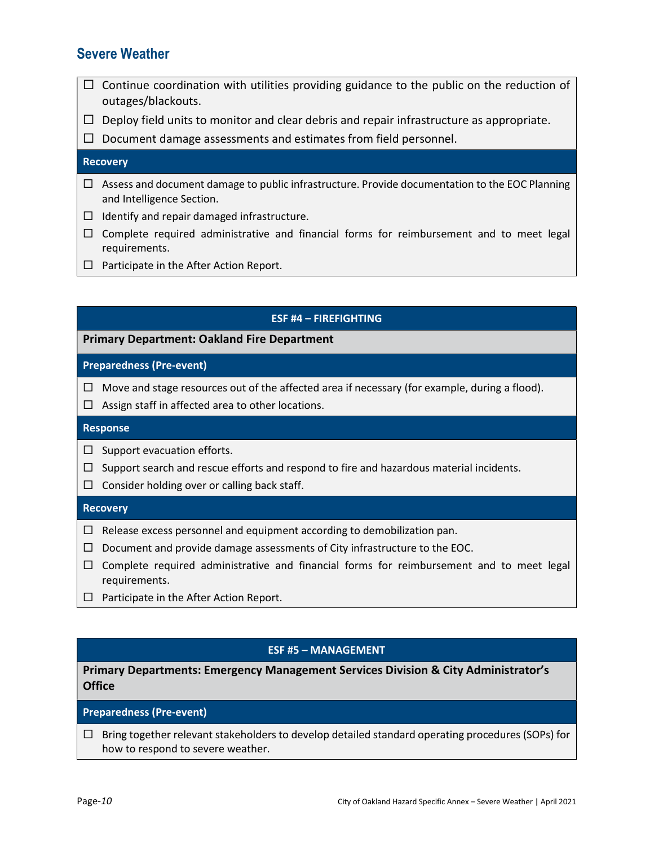- $\Box$  Continue coordination with utilities providing guidance to the public on the reduction of outages/blackouts.
- $\Box$  Deploy field units to monitor and clear debris and repair infrastructure as appropriate.

 $\Box$  Document damage assessments and estimates from field personnel.

### **Recovery**

- $\Box$  Assess and document damage to public infrastructure. Provide documentation to the EOC Planning and Intelligence Section.
- $\Box$  Identify and repair damaged infrastructure.
- $\Box$  Complete required administrative and financial forms for reimbursement and to meet legal requirements.
- $\Box$  Participate in the After Action Report.

### ESF #4 – FIREFIGHTING

### Primary Department: Oakland Fire Department

### Preparedness (Pre-event)

- $\Box$  Move and stage resources out of the affected area if necessary (for example, during a flood).
- $\Box$  Assign staff in affected area to other locations.

### Response

- $\Box$  Support evacuation efforts.
- $\Box$  Support search and rescue efforts and respond to fire and hazardous material incidents.
- $\Box$  Consider holding over or calling back staff.

### **Recovery**

- $\Box$  Release excess personnel and equipment according to demobilization pan.
- $\Box$  Document and provide damage assessments of City infrastructure to the EOC.
- $\Box$  Complete required administrative and financial forms for reimbursement and to meet legal requirements.
- $\Box$  Participate in the After Action Report.

### ESF #5 – MANAGEMENT

### Primary Departments: Emergency Management Services Division & City Administrator's **Office**

### Preparedness (Pre-event)

 $\Box$  Bring together relevant stakeholders to develop detailed standard operating procedures (SOPs) for how to respond to severe weather.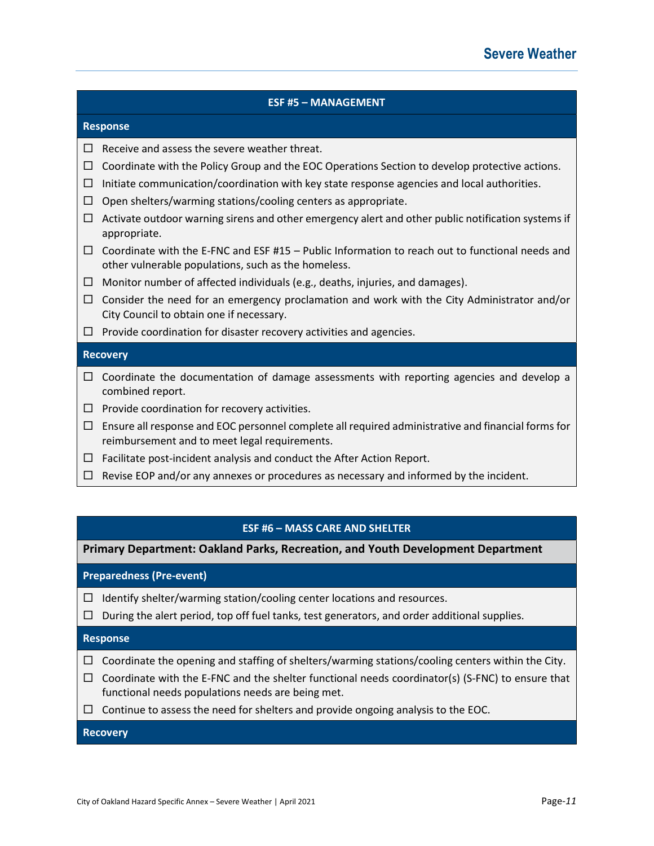## ESF #5 – MANAGEMENT Response  $\Box$  Receive and assess the severe weather threat.  $\Box$  Coordinate with the Policy Group and the EOC Operations Section to develop protective actions.  $\Box$  Initiate communication/coordination with key state response agencies and local authorities.  $\Box$  Open shelters/warming stations/cooling centers as appropriate.  $\Box$  Activate outdoor warning sirens and other emergency alert and other public notification systems if appropriate.  $\Box$  Coordinate with the E-FNC and ESF #15 – Public Information to reach out to functional needs and other vulnerable populations, such as the homeless.  $\Box$  Monitor number of affected individuals (e.g., deaths, injuries, and damages).  $\Box$  Consider the need for an emergency proclamation and work with the City Administrator and/or City Council to obtain one if necessary.  $\Box$  Provide coordination for disaster recovery activities and agencies. **Recovery**  $\Box$  Coordinate the documentation of damage assessments with reporting agencies and develop a combined report.  $\square$  Provide coordination for recovery activities.  $\Box$  Ensure all response and EOC personnel complete all required administrative and financial forms for reimbursement and to meet legal requirements.  $\Box$  Facilitate post-incident analysis and conduct the After Action Report.  $\Box$  Revise EOP and/or any annexes or procedures as necessary and informed by the incident.

### ESF #6 – MASS CARE AND SHELTER

Primary Department: Oakland Parks, Recreation, and Youth Development Department

### Preparedness (Pre-event)

- $\Box$  Identify shelter/warming station/cooling center locations and resources.
- $\Box$  During the alert period, top off fuel tanks, test generators, and order additional supplies.

### Response

- $\Box$  Coordinate the opening and staffing of shelters/warming stations/cooling centers within the City.
- $\Box$  Coordinate with the E-FNC and the shelter functional needs coordinator(s) (S-FNC) to ensure that functional needs populations needs are being met.
- $\Box$  Continue to assess the need for shelters and provide ongoing analysis to the EOC.

### **Recovery**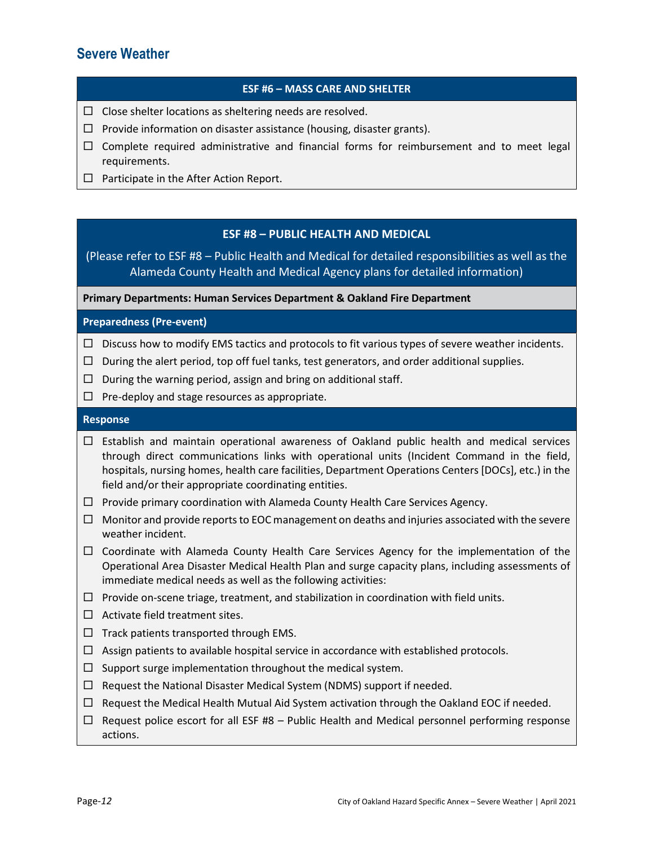### ESF #6 – MASS CARE AND SHELTER

- $\square$  Close shelter locations as sheltering needs are resolved.
- $\Box$  Provide information on disaster assistance (housing, disaster grants).
- $\Box$  Complete required administrative and financial forms for reimbursement and to meet legal requirements.
- $\Box$  Participate in the After Action Report.

### ESF #8 – PUBLIC HEALTH AND MEDICAL

(Please refer to ESF #8 – Public Health and Medical for detailed responsibilities as well as the Alameda County Health and Medical Agency plans for detailed information)

Primary Departments: Human Services Department & Oakland Fire Department

### Preparedness (Pre-event)

- $\Box$  Discuss how to modify EMS tactics and protocols to fit various types of severe weather incidents.
- $\Box$  During the alert period, top off fuel tanks, test generators, and order additional supplies.
- $\Box$  During the warning period, assign and bring on additional staff.
- $\Box$  Pre-deploy and stage resources as appropriate.

### Response

- $\Box$  Establish and maintain operational awareness of Oakland public health and medical services through direct communications links with operational units (Incident Command in the field, hospitals, nursing homes, health care facilities, Department Operations Centers [DOCs], etc.) in the field and/or their appropriate coordinating entities.
- $\Box$  Provide primary coordination with Alameda County Health Care Services Agency.
- $\Box$  Monitor and provide reports to EOC management on deaths and injuries associated with the severe weather incident.
- $\Box$  Coordinate with Alameda County Health Care Services Agency for the implementation of the Operational Area Disaster Medical Health Plan and surge capacity plans, including assessments of immediate medical needs as well as the following activities:
- $\Box$  Provide on-scene triage, treatment, and stabilization in coordination with field units.
- $\Box$  Activate field treatment sites.
- $\Box$  Track patients transported through EMS.
- $\Box$  Assign patients to available hospital service in accordance with established protocols.
- $\Box$  Support surge implementation throughout the medical system.
- $\Box$  Request the National Disaster Medical System (NDMS) support if needed.
- $\Box$  Request the Medical Health Mutual Aid System activation through the Oakland EOC if needed.
- $\Box$  Request police escort for all ESF #8 Public Health and Medical personnel performing response actions.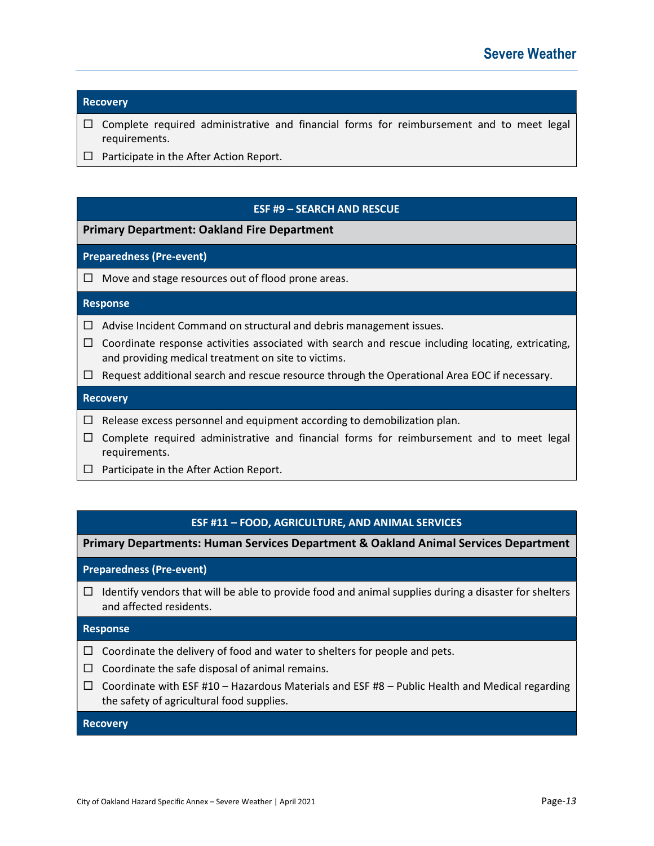### **Recovery**

- $\Box$  Complete required administrative and financial forms for reimbursement and to meet legal requirements.
- $\Box$  Participate in the After Action Report.

### ESF #9 – SEARCH AND RESCUE

### Primary Department: Oakland Fire Department

### Preparedness (Pre-event)

 $\Box$  Move and stage resources out of flood prone areas.

#### Response

- $\Box$  Advise Incident Command on structural and debris management issues.
- $\Box$  Coordinate response activities associated with search and rescue including locating, extricating, and providing medical treatment on site to victims.
- $\Box$  Request additional search and rescue resource through the Operational Area EOC if necessary.

### **Recovery**

- $\Box$  Release excess personnel and equipment according to demobilization plan.
- $\Box$  Complete required administrative and financial forms for reimbursement and to meet legal requirements.
- $\Box$  Participate in the After Action Report.

### ESF #11 – FOOD, AGRICULTURE, AND ANIMAL SERVICES

Primary Departments: Human Services Department & Oakland Animal Services Department

Preparedness (Pre-event)

 $\Box$  Identify vendors that will be able to provide food and animal supplies during a disaster for shelters and affected residents.

### Response

- $\Box$  Coordinate the delivery of food and water to shelters for people and pets.
- $\Box$  Coordinate the safe disposal of animal remains.
- $\Box$  Coordinate with ESF #10 Hazardous Materials and ESF #8 Public Health and Medical regarding the safety of agricultural food supplies.

#### **Recovery**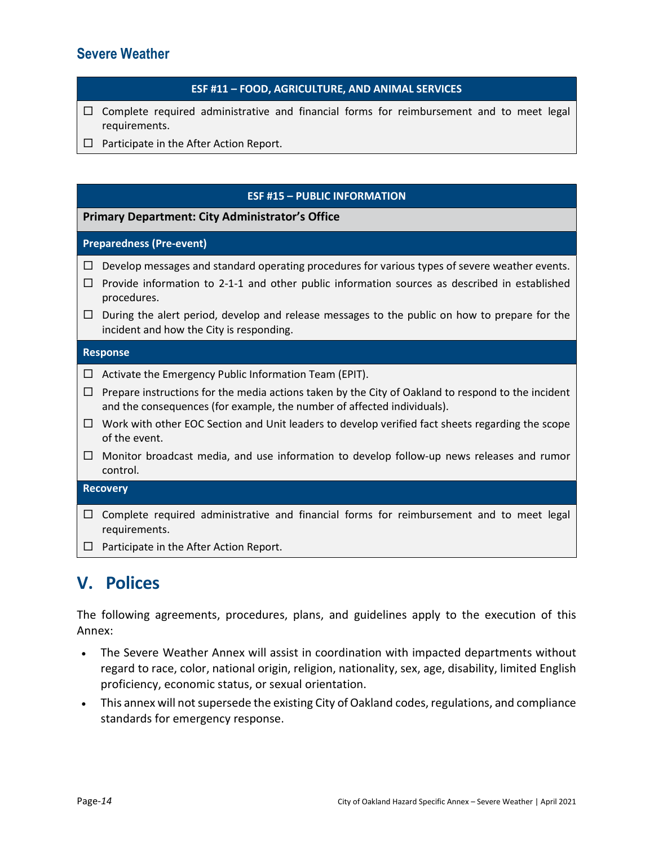### ESF #11 – FOOD, AGRICULTURE, AND ANIMAL SERVICES

- $\Box$  Complete required administrative and financial forms for reimbursement and to meet legal requirements.
- $\Box$  Participate in the After Action Report.

### ESF #15 – PUBLIC INFORMATION

### Primary Department: City Administrator's Office

### Preparedness (Pre-event)

- $\Box$  Develop messages and standard operating procedures for various types of severe weather events.
- $\Box$  Provide information to 2-1-1 and other public information sources as described in established procedures.
- $\Box$  During the alert period, develop and release messages to the public on how to prepare for the incident and how the City is responding.

### Response

- $\Box$  Activate the Emergency Public Information Team (EPIT).
- $\Box$  Prepare instructions for the media actions taken by the City of Oakland to respond to the incident and the consequences (for example, the number of affected individuals).
- $\Box$  Work with other EOC Section and Unit leaders to develop verified fact sheets regarding the scope of the event.
- $\Box$  Monitor broadcast media, and use information to develop follow-up news releases and rumor control.

### **Recovery**

- $\Box$  Complete required administrative and financial forms for reimbursement and to meet legal requirements.
- $\Box$  Participate in the After Action Report.

## V. Polices

The following agreements, procedures, plans, and guidelines apply to the execution of this Annex:

- The Severe Weather Annex will assist in coordination with impacted departments without regard to race, color, national origin, religion, nationality, sex, age, disability, limited English proficiency, economic status, or sexual orientation.
- This annex will not supersede the existing City of Oakland codes, regulations, and compliance standards for emergency response.